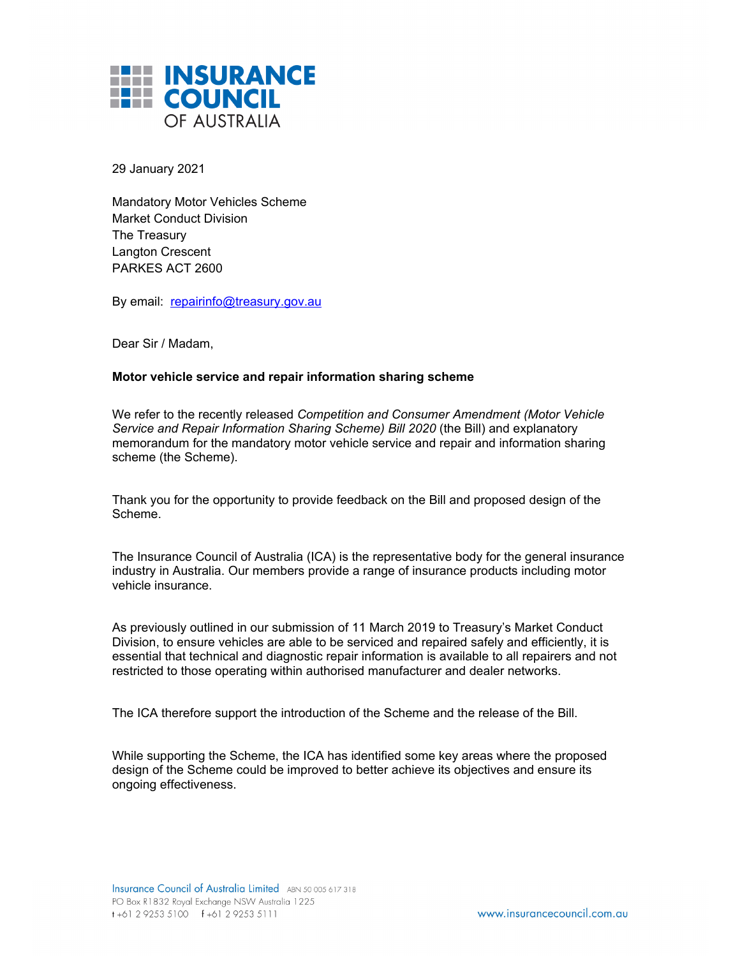

29 January 2021

Mandatory Motor Vehicles Scheme Market Conduct Division The Treasury Langton Crescent PARKES ACT 2600

By email: repairinfo@treasury.gov.au

Dear Sir / Madam,

## **Motor vehicle service and repair information sharing scheme**

We refer to the recently released *Competition and Consumer Amendment (Motor Vehicle Service and Repair Information Sharing Scheme) Bill 2020* (the Bill) and explanatory memorandum for the mandatory motor vehicle service and repair and information sharing scheme (the Scheme).

Thank you for the opportunity to provide feedback on the Bill and proposed design of the Scheme.

The Insurance Council of Australia (ICA) is the representative body for the general insurance industry in Australia. Our members provide a range of insurance products including motor vehicle insurance.

As previously outlined in our submission of 11 March 2019 to Treasury's Market Conduct Division, to ensure vehicles are able to be serviced and repaired safely and efficiently, it is essential that technical and diagnostic repair information is available to all repairers and not restricted to those operating within authorised manufacturer and dealer networks.

The ICA therefore support the introduction of the Scheme and the release of the Bill.

While supporting the Scheme, the ICA has identified some key areas where the proposed design of the Scheme could be improved to better achieve its objectives and ensure its ongoing effectiveness.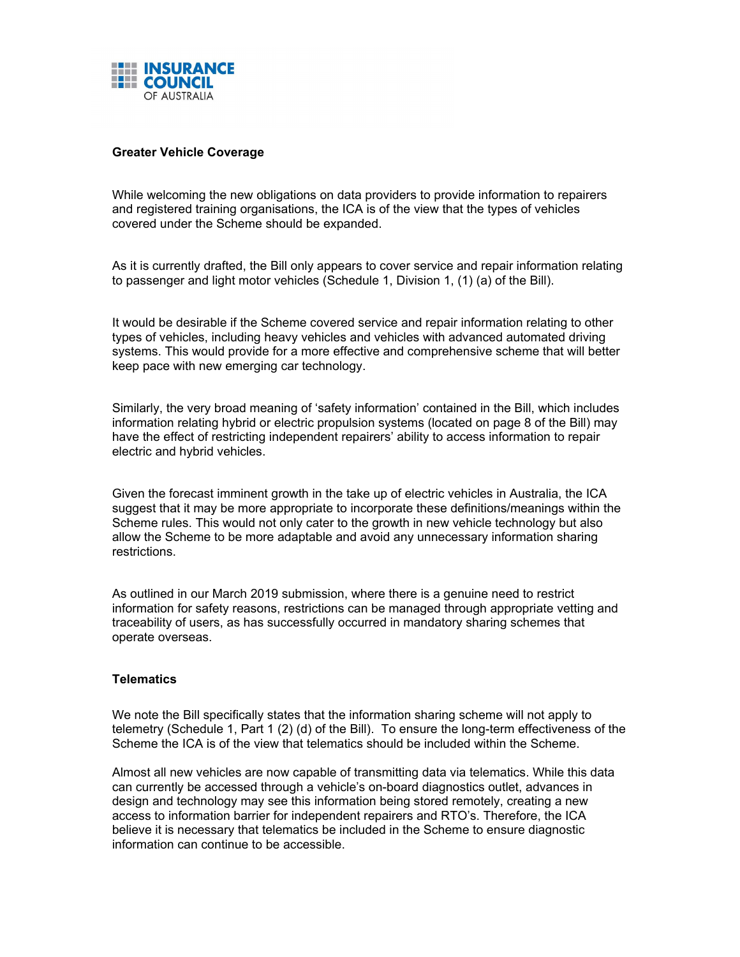

## **Greater Vehicle Coverage**

While welcoming the new obligations on data providers to provide information to repairers and registered training organisations, the ICA is of the view that the types of vehicles covered under the Scheme should be expanded.

As it is currently drafted, the Bill only appears to cover service and repair information relating to passenger and light motor vehicles (Schedule 1, Division 1, (1) (a) of the Bill).

It would be desirable if the Scheme covered service and repair information relating to other types of vehicles, including heavy vehicles and vehicles with advanced automated driving systems. This would provide for a more effective and comprehensive scheme that will better keep pace with new emerging car technology.

Similarly, the very broad meaning of 'safety information' contained in the Bill, which includes information relating hybrid or electric propulsion systems (located on page 8 of the Bill) may have the effect of restricting independent repairers' ability to access information to repair electric and hybrid vehicles.

Given the forecast imminent growth in the take up of electric vehicles in Australia, the ICA suggest that it may be more appropriate to incorporate these definitions/meanings within the Scheme rules. This would not only cater to the growth in new vehicle technology but also allow the Scheme to be more adaptable and avoid any unnecessary information sharing restrictions.

As outlined in our March 2019 submission, where there is a genuine need to restrict information for safety reasons, restrictions can be managed through appropriate vetting and traceability of users, as has successfully occurred in mandatory sharing schemes that operate overseas.

## **Telematics**

We note the Bill specifically states that the information sharing scheme will not apply to telemetry (Schedule 1, Part 1 (2) (d) of the Bill). To ensure the long-term effectiveness of the Scheme the ICA is of the view that telematics should be included within the Scheme.

Almost all new vehicles are now capable of transmitting data via telematics. While this data can currently be accessed through a vehicle's on-board diagnostics outlet, advances in design and technology may see this information being stored remotely, creating a new access to information barrier for independent repairers and RTO's. Therefore, the ICA believe it is necessary that telematics be included in the Scheme to ensure diagnostic information can continue to be accessible.